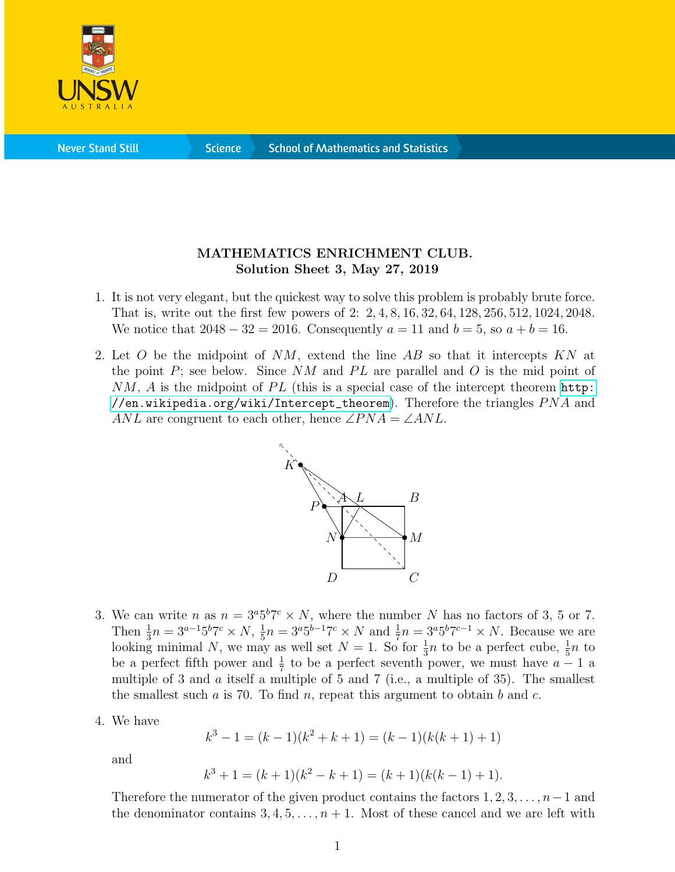

**Science** 

## MATHEMATICS ENRICHMENT CLUB. Solution Sheet 3, May 27, 2019

- 1. It is not very elegant, but the quickest way to solve this problem is probably brute force. That is, write out the first few powers of 2: 2, 4, 8, 16, 32, 64, 128, 256, 512, 1024, 2048. We notice that  $2048 - 32 = 2016$ . Consequently  $a = 11$  and  $b = 5$ , so  $a + b = 16$ .
- 2. Let O be the midpoint of  $NM$ , extend the line AB so that it intercepts KN at the point  $P$ ; see below. Since NM and PL are parallel and O is the mid point of  $NM$ , A is the midpoint of PL (this is a special case of the intercept theorem [http:](http://en.wikipedia.org/wiki/Intercept_theorem) [//en.wikipedia.org/wiki/Intercept\\_theorem](http://en.wikipedia.org/wiki/Intercept_theorem)). Therefore the triangles  $PNA$  and ANL are congruent to each other, hence  $\angle PNA = \angle ANL$ .



- 3. We can write *n* as  $n = 3^{a}5^{b}7^{c} \times N$ , where the number *N* has no factors of 3, 5 or 7. Then  $\frac{1}{3}n = 3^{a-1}5^b7^c \times N$ ,  $\frac{1}{5}$  $\frac{1}{5}n = 3^a 5^{b-1} 7^c \times N$  and  $\frac{1}{7}n = 3^a 5^b 7^{c-1} \times N$ . Because we are looking minimal N, we may as well set  $N = 1$ . So for  $\frac{1}{3}n$  to be a perfect cube,  $\frac{1}{5}n$  to be a perfect fifth power and  $\frac{1}{7}$  to be a perfect seventh power, we must have  $a - 1$  a multiple of 3 and  $\alpha$  itself a multiple of 5 and 7 (i.e., a multiple of 35). The smallest the smallest such a is 70. To find n, repeat this argument to obtain b and c.
- 4. We have

$$
k3 - 1 = (k - 1)(k2 + k + 1) = (k - 1)(k(k + 1) + 1)
$$

and

$$
k3 + 1 = (k + 1)(k2 - k + 1) = (k + 1)(k(k - 1) + 1).
$$

Therefore the numerator of the given product contains the factors  $1, 2, 3, \ldots, n-1$  and the denominator contains  $3, 4, 5, \ldots, n+1$ . Most of these cancel and we are left with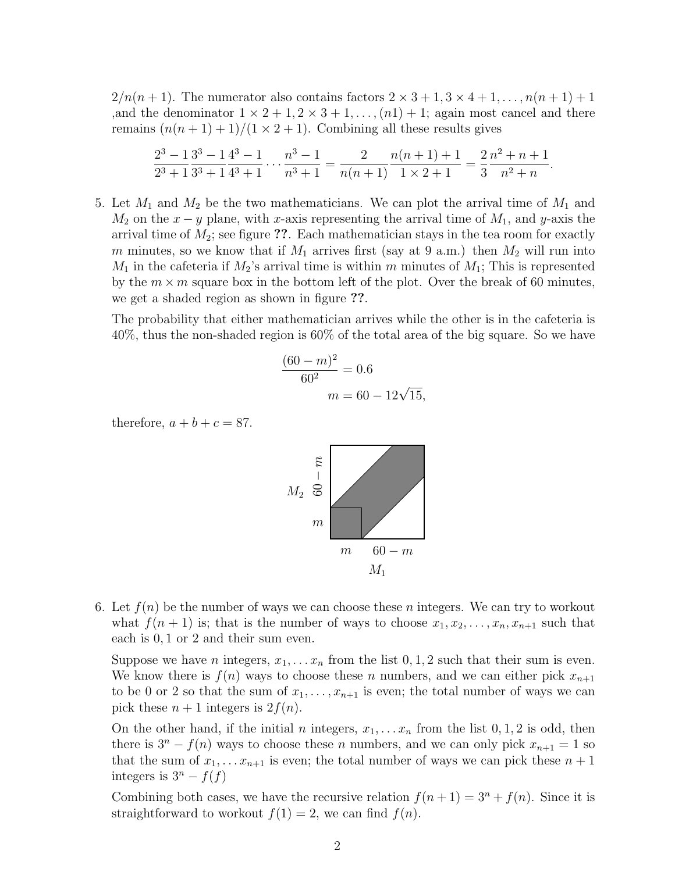$2/n(n+1)$ . The numerator also contains factors  $2 \times 3 + 1, 3 \times 4 + 1, \ldots, n(n+1) + 1$ ,and the denominator  $1 \times 2 + 1, 2 \times 3 + 1, \ldots, (n1) + 1$ ; again most cancel and there remains  $(n(n+1)+1)/(1\times 2+1)$ . Combining all these results gives

$$
\frac{2^3 - 1}{2^3 + 1} \frac{3^3 - 1}{3^3 + 1} \frac{4^3 - 1}{4^3 + 1} \cdots \frac{n^3 - 1}{n^3 + 1} = \frac{2}{n(n+1)} \frac{n(n+1) + 1}{1 \times 2 + 1} = \frac{2}{3} \frac{n^2 + n + 1}{n^2 + n}.
$$

5. Let  $M_1$  and  $M_2$  be the two mathematicians. We can plot the arrival time of  $M_1$  and  $M_2$  on the  $x - y$  plane, with x-axis representing the arrival time of  $M_1$ , and y-axis the arrival time of  $M_2$ ; see figure ??. Each mathematician stays in the tea room for exactly m minutes, so we know that if  $M_1$  arrives first (say at 9 a.m.) then  $M_2$  will run into  $M_1$  in the cafeteria if  $M_2$ 's arrival time is within m minutes of  $M_1$ ; This is represented by the  $m \times m$  square box in the bottom left of the plot. Over the break of 60 minutes, we get a shaded region as shown in figure ??.

The probability that either mathematician arrives while the other is in the cafeteria is 40%, thus the non-shaded region is 60% of the total area of the big square. So we have

$$
\frac{(60 - m)^2}{60^2} = 0.6
$$

$$
m = 60 - 12\sqrt{15},
$$

therefore,  $a + b + c = 87$ .



6. Let  $f(n)$  be the number of ways we can choose these n integers. We can try to workout what  $f(n + 1)$  is; that is the number of ways to choose  $x_1, x_2, \ldots, x_n, x_{n+1}$  such that each is 0, 1 or 2 and their sum even.

Suppose we have *n* integers,  $x_1, \ldots, x_n$  from the list 0, 1, 2 such that their sum is even. We know there is  $f(n)$  ways to choose these n numbers, and we can either pick  $x_{n+1}$ to be 0 or 2 so that the sum of  $x_1, \ldots, x_{n+1}$  is even; the total number of ways we can pick these  $n + 1$  integers is  $2f(n)$ .

On the other hand, if the initial n integers,  $x_1, \ldots, x_n$  from the list  $0, 1, 2$  is odd, then there is  $3^n - f(n)$  ways to choose these n numbers, and we can only pick  $x_{n+1} = 1$  so that the sum of  $x_1, \ldots x_{n+1}$  is even; the total number of ways we can pick these  $n+1$ integers is  $3^n - f(f)$ 

Combining both cases, we have the recursive relation  $f(n+1) = 3<sup>n</sup> + f(n)$ . Since it is straightforward to workout  $f(1) = 2$ , we can find  $f(n)$ .